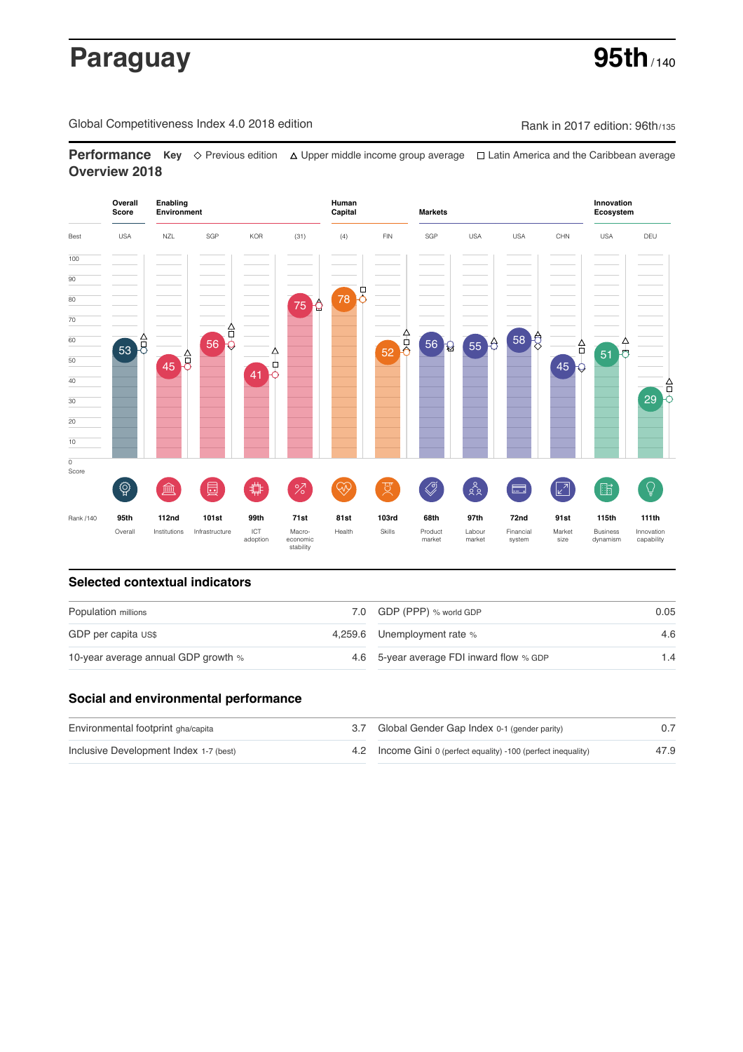# **Paraguay 95th**

Global Competitiveness Index 4.0 2018 edition Company Rank in 2017 edition: 96th/135

**Performance** Key ◇ Previous edition △ Upper middle income group average □ Latin America and the Caribbean average **Overview 2018**



### **Selected contextual indicators**

| Population millions                 | 7.0 GDP (PPP) % world GDP                | 0.05 |  |
|-------------------------------------|------------------------------------------|------|--|
| GDP per capita US\$                 | 4,259.6 Unemployment rate %              | 4.6  |  |
| 10-year average annual GDP growth % | 4.6 5-year average FDI inward flow % GDP | 1.4  |  |

### **Social and environmental performance**

| Environmental footprint gha/capita     | 3.7 Global Gender Gap Index 0-1 (gender parity)                |      |
|----------------------------------------|----------------------------------------------------------------|------|
| Inclusive Development Index 1-7 (best) | 4.2 Income Gini 0 (perfect equality) -100 (perfect inequality) | 47.9 |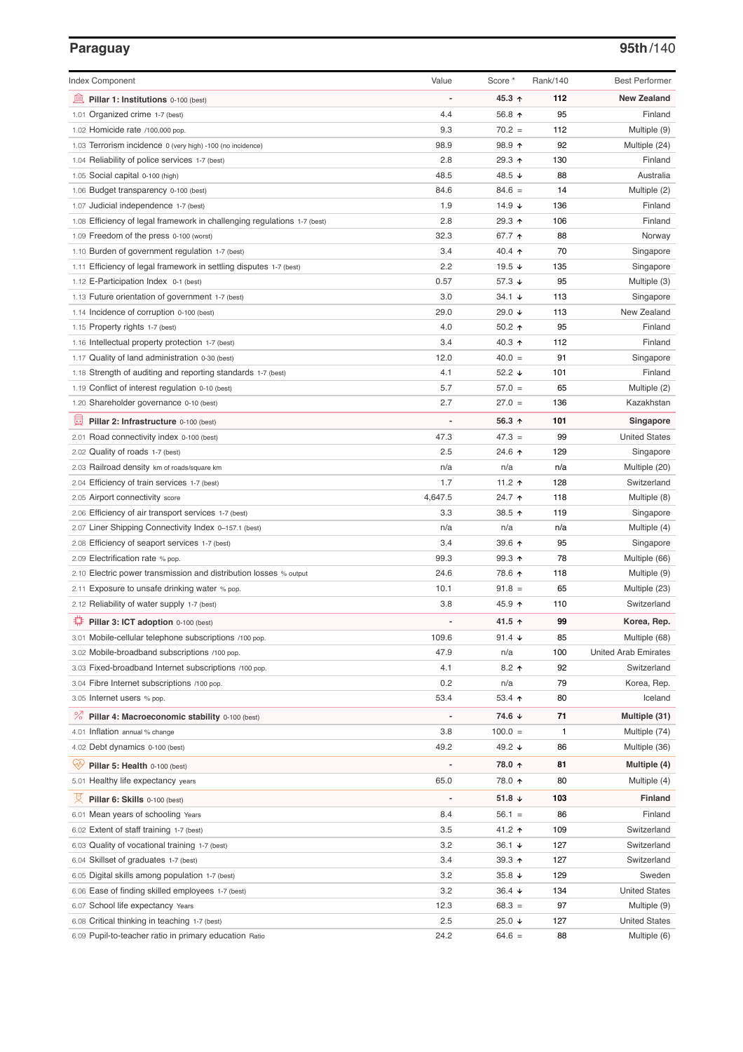# **Paraguay 95th**/140

| <b>Index Component</b>                                                   | Value                    | Score *          | Rank/140 | <b>Best Performer</b>       |
|--------------------------------------------------------------------------|--------------------------|------------------|----------|-----------------------------|
| 寙<br>Pillar 1: Institutions 0-100 (best)                                 | Ĭ.                       | 45.3 ↑           | 112      | <b>New Zealand</b>          |
| 1.01 Organized crime 1-7 (best)                                          | 4.4                      | 56.8 ↑           | 95       | Finland                     |
| 1.02 Homicide rate /100,000 pop.                                         | 9.3                      | $70.2 =$         | 112      | Multiple (9)                |
| 1.03 Terrorism incidence 0 (very high) -100 (no incidence)               | 98.9                     | 98.9 ↑           | 92       | Multiple (24)               |
| 1.04 Reliability of police services 1-7 (best)                           | 2.8                      | 29.3 ↑           | 130      | Finland                     |
| 1.05 Social capital 0-100 (high)                                         | 48.5                     | 48.5 ↓           | 88       | Australia                   |
| 1.06 Budget transparency 0-100 (best)                                    | 84.6                     | $84.6 =$         | 14       | Multiple (2)                |
| 1.07 Judicial independence 1-7 (best)                                    | 1.9                      | 14.9 $\sqrt{ }$  | 136      | Finland                     |
| 1.08 Efficiency of legal framework in challenging regulations 1-7 (best) | 2.8                      | 29.3 ↑           | 106      | Finland                     |
| 1.09 Freedom of the press 0-100 (worst)                                  | 32.3                     | 67.7 ↑           | 88       | Norway                      |
| 1.10 Burden of government regulation 1-7 (best)                          | 3.4                      | 40.4 $\uparrow$  | 70       | Singapore                   |
| 1.11 Efficiency of legal framework in settling disputes 1-7 (best)       | 2.2                      | 19.5 $\sqrt{ }$  | 135      | Singapore                   |
| 1.12 E-Participation Index 0-1 (best)                                    | 0.57                     | 57.3 ↓           | 95       | Multiple (3)                |
| 1.13 Future orientation of government 1-7 (best)                         | 3.0                      | 34.1 ↓           | 113      | Singapore                   |
| 1.14 Incidence of corruption 0-100 (best)                                | 29.0                     | 29.0 ↓           | 113      | New Zealand                 |
| 1.15 Property rights 1-7 (best)                                          | 4.0                      | $50.2$ 1         | 95       | Finland                     |
| 1.16 Intellectual property protection 1-7 (best)                         | 3.4                      | 40.3 $\uparrow$  | 112      | Finland                     |
| 1.17 Quality of land administration 0-30 (best)                          | 12.0                     | $40.0 =$         | 91       | Singapore                   |
| 1.18 Strength of auditing and reporting standards 1-7 (best)             | 4.1                      | 52.2 $\sqrt{ }$  | 101      | Finland                     |
| 1.19 Conflict of interest regulation 0-10 (best)                         | 5.7                      | $57.0 =$         | 65       | Multiple (2)                |
| 1.20 Shareholder governance 0-10 (best)                                  | 2.7                      | $27.0 =$         | 136      | Kazakhstan                  |
| 員<br>Pillar 2: Infrastructure 0-100 (best)                               | ÷,                       | 56.3 $\uparrow$  | 101      | Singapore                   |
| 2.01 Road connectivity index 0-100 (best)                                | 47.3                     | $47.3 =$         | 99       | <b>United States</b>        |
| 2.02 Quality of roads 1-7 (best)                                         | 2.5                      | 24.6 ↑           | 129      | Singapore                   |
| 2.03 Railroad density km of roads/square km                              | n/a                      | n/a              | n/a      | Multiple (20)               |
| 2.04 Efficiency of train services 1-7 (best)                             | 1.7                      | 11.2 $\uparrow$  | 128      | Switzerland                 |
| 2.05 Airport connectivity score                                          | 4,647.5                  | 24.7 ተ           | 118      | Multiple (8)                |
| 2.06 Efficiency of air transport services 1-7 (best)                     | 3.3                      | 38.5 ↑           | 119      | Singapore                   |
| 2.07 Liner Shipping Connectivity Index 0-157.1 (best)                    | n/a                      | n/a              | n/a      | Multiple (4)                |
| 2.08 Efficiency of seaport services 1-7 (best)                           | 3.4                      | 39.6 个           | 95       | Singapore                   |
| 2.09 Electrification rate % pop.                                         | 99.3                     | $99.3 \text{ A}$ | 78       | Multiple (66)               |
| 2.10 Electric power transmission and distribution losses % output        | 24.6                     | 78.6 ↑           | 118      | Multiple (9)                |
| 2.11 Exposure to unsafe drinking water % pop.                            | 10.1                     | $91.8 =$         | 65       | Multiple (23)               |
| 2.12 Reliability of water supply 1-7 (best)                              | 3.8                      | 45.9 ↑           | 110      | Switzerland                 |
| O<br>Pillar 3: ICT adoption 0-100 (best)                                 |                          | 41.5 ↑           | 99       | Korea, Rep.                 |
| 3.01 Mobile-cellular telephone subscriptions /100 pop.                   | 109.6                    | 91.4 $\sqrt{ }$  | 85       | Multiple (68)               |
| 3.02 Mobile-broadband subscriptions /100 pop.                            | 47.9                     | n/a              | 100      | <b>United Arab Emirates</b> |
| 3.03 Fixed-broadband Internet subscriptions /100 pop.                    | 4.1                      | $8.2$ ↑          | 92       | Switzerland                 |
| 3.04 Fibre Internet subscriptions /100 pop.                              | 0.2                      | n/a              | 79       | Korea, Rep.                 |
| 3.05 Internet users % pop.                                               | 53.4                     | 53.4 $\uparrow$  | 80       | Iceland                     |
| ℅<br>Pillar 4: Macroeconomic stability 0-100 (best)                      | $\overline{\phantom{a}}$ | 74.6 ↓           | 71       | Multiple (31)               |
| 4.01 Inflation annual % change                                           | 3.8                      | $100.0 =$        | 1        | Multiple (74)               |
| 4.02 Debt dynamics 0-100 (best)                                          | 49.2                     | 49.2 ↓           | 86       | Multiple (36)               |
| Qÿ<br>Pillar 5: Health 0-100 (best)                                      | ÷                        | 78.0 ↑           | 81       | Multiple (4)                |
| 5.01 Healthy life expectancy years                                       | 65.0                     | 78.0 ↑           | 80       | Multiple (4)                |
|                                                                          |                          |                  |          |                             |
| 섯<br>Pillar 6: Skills 0-100 (best)                                       | $\overline{\phantom{a}}$ | 51.8 $\sqrt{ }$  | 103      | Finland                     |
| 6.01 Mean years of schooling Years                                       | 8.4                      | $56.1 =$         | 86       | Finland                     |
| 6.02 Extent of staff training 1-7 (best)                                 | 3.5                      | 41.2 ↑           | 109      | Switzerland                 |
| 6.03 Quality of vocational training 1-7 (best)                           | 3.2                      | $36.1 +$         | 127      | Switzerland                 |
| 6.04 Skillset of graduates 1-7 (best)                                    | 3.4                      | $39.3 +$         | 127      | Switzerland                 |
| 6.05 Digital skills among population 1-7 (best)                          | 3.2                      | 35.8 $\sqrt{ }$  | 129      | Sweden                      |
| 6.06 Ease of finding skilled employees 1-7 (best)                        | 3.2                      | 36.4 ↓           | 134      | <b>United States</b>        |
| 6.07 School life expectancy Years                                        | 12.3                     | $68.3 =$         | 97       | Multiple (9)                |
| 6.08 Critical thinking in teaching 1-7 (best)                            | 2.5                      | 25.0 ↓           | 127      | <b>United States</b>        |
| 6.09 Pupil-to-teacher ratio in primary education Ratio                   | 24.2                     | $64.6 =$         | 88       | Multiple (6)                |